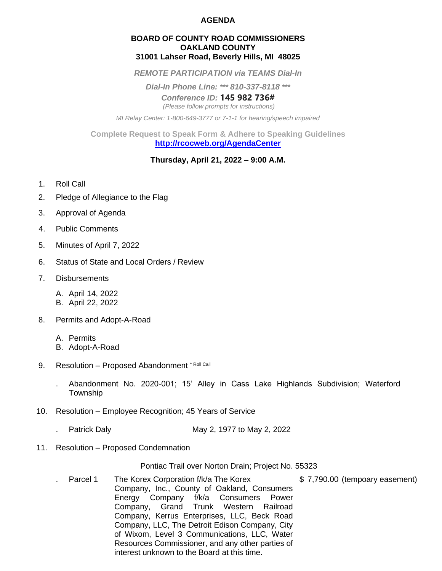### **AGENDA**

#### **BOARD OF COUNTY ROAD COMMISSIONERS OAKLAND COUNTY 31001 Lahser Road, Beverly Hills, MI 48025**

*REMOTE PARTICIPATION via TEAMS Dial-In*

*Dial-In Phone Line: \*\*\* 810-337-8118 \*\*\**

*Conference ID:* **145 982 736#** *(Please follow prompts for instructions)*

*MI Relay Center: 1-800-649-3777 or 7-1-1 for hearing/speech impaired*

**Complete Request to Speak Form & Adhere to Speaking Guidelines <http://rcocweb.org/AgendaCenter>**

### **Thursday, April 21, 2022 – 9:00 A.M.**

- 1. Roll Call
- 2. Pledge of Allegiance to the Flag
- 3. Approval of Agenda
- 4. Public Comments
- 5. Minutes of April 7, 2022
- 6. Status of State and Local Orders / Review
- 7. Disbursements
	- A. April 14, 2022
	- B. April 22, 2022
- 8. Permits and Adopt-A-Road
	- A. Permits
	- B. Adopt-A-Road
- 9. Resolution Proposed Abandonment \* Roll Call
	- . Abandonment No. 2020-001; 15' Alley in Cass Lake Highlands Subdivision; Waterford Township
- 10. Resolution Employee Recognition; 45 Years of Service
	- . Patrick Daly May 2, 1977 to May 2, 2022
- 11. Resolution Proposed Condemnation

### Pontiac Trail over Norton Drain; Project No. 55323

Parcel 1 The Korex Corporation f/k/a The Korex \$7,790.00 (tempoary easement)

Company, Inc., County of Oakland, Consumers Energy Company f/k/a Consumers Power Company, Grand Trunk Western Railroad Company, Kerrus Enterprises, LLC, Beck Road Company, LLC, The Detroit Edison Company, City of Wixom, Level 3 Communications, LLC, Water Resources Commissioner, and any other parties of interest unknown to the Board at this time.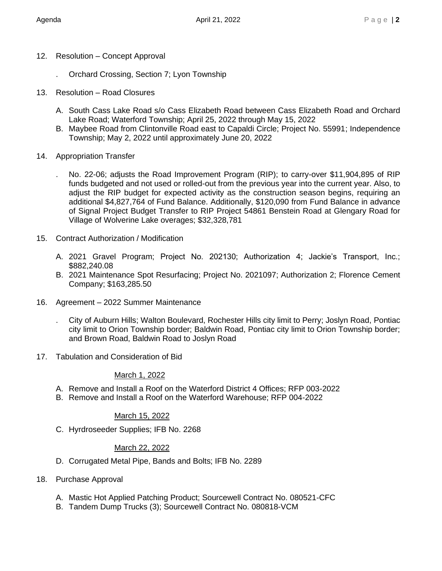- 12. Resolution Concept Approval
	- . Orchard Crossing, Section 7; Lyon Township
- 13. Resolution Road Closures
	- A. South Cass Lake Road s/o Cass Elizabeth Road between Cass Elizabeth Road and Orchard Lake Road; Waterford Township; April 25, 2022 through May 15, 2022
	- B. Maybee Road from Clintonville Road east to Capaldi Circle; Project No. 55991; Independence Township; May 2, 2022 until approximately June 20, 2022
- 14. Appropriation Transfer
	- . No. 22-06; adjusts the Road Improvement Program (RIP); to carry-over \$11,904,895 of RIP funds budgeted and not used or rolled-out from the previous year into the current year. Also, to adjust the RIP budget for expected activity as the construction season begins, requiring an additional \$4,827,764 of Fund Balance. Additionally, \$120,090 from Fund Balance in advance of Signal Project Budget Transfer to RIP Project 54861 Benstein Road at Glengary Road for Village of Wolverine Lake overages; \$32,328,781
- 15. Contract Authorization / Modification
	- A. 2021 Gravel Program; Project No. 202130; Authorization 4; Jackie's Transport, Inc.; \$882,240.08
	- B. 2021 Maintenance Spot Resurfacing; Project No. 2021097; Authorization 2; Florence Cement Company; \$163,285.50
- 16. Agreement 2022 Summer Maintenance
	- . City of Auburn Hills; Walton Boulevard, Rochester Hills city limit to Perry; Joslyn Road, Pontiac city limit to Orion Township border; Baldwin Road, Pontiac city limit to Orion Township border; and Brown Road, Baldwin Road to Joslyn Road
- 17. Tabulation and Consideration of Bid

# March 1, 2022

- A. Remove and Install a Roof on the Waterford District 4 Offices; RFP 003-2022
- B. Remove and Install a Roof on the Waterford Warehouse; RFP 004-2022

# March 15, 2022

C. Hyrdroseeder Supplies; IFB No. 2268

# March 22, 2022

- D. Corrugated Metal Pipe, Bands and Bolts; IFB No. 2289
- 18. Purchase Approval
	- A. Mastic Hot Applied Patching Product; Sourcewell Contract No. 080521-CFC
	- B. Tandem Dump Trucks (3); Sourcewell Contract No. 080818-VCM